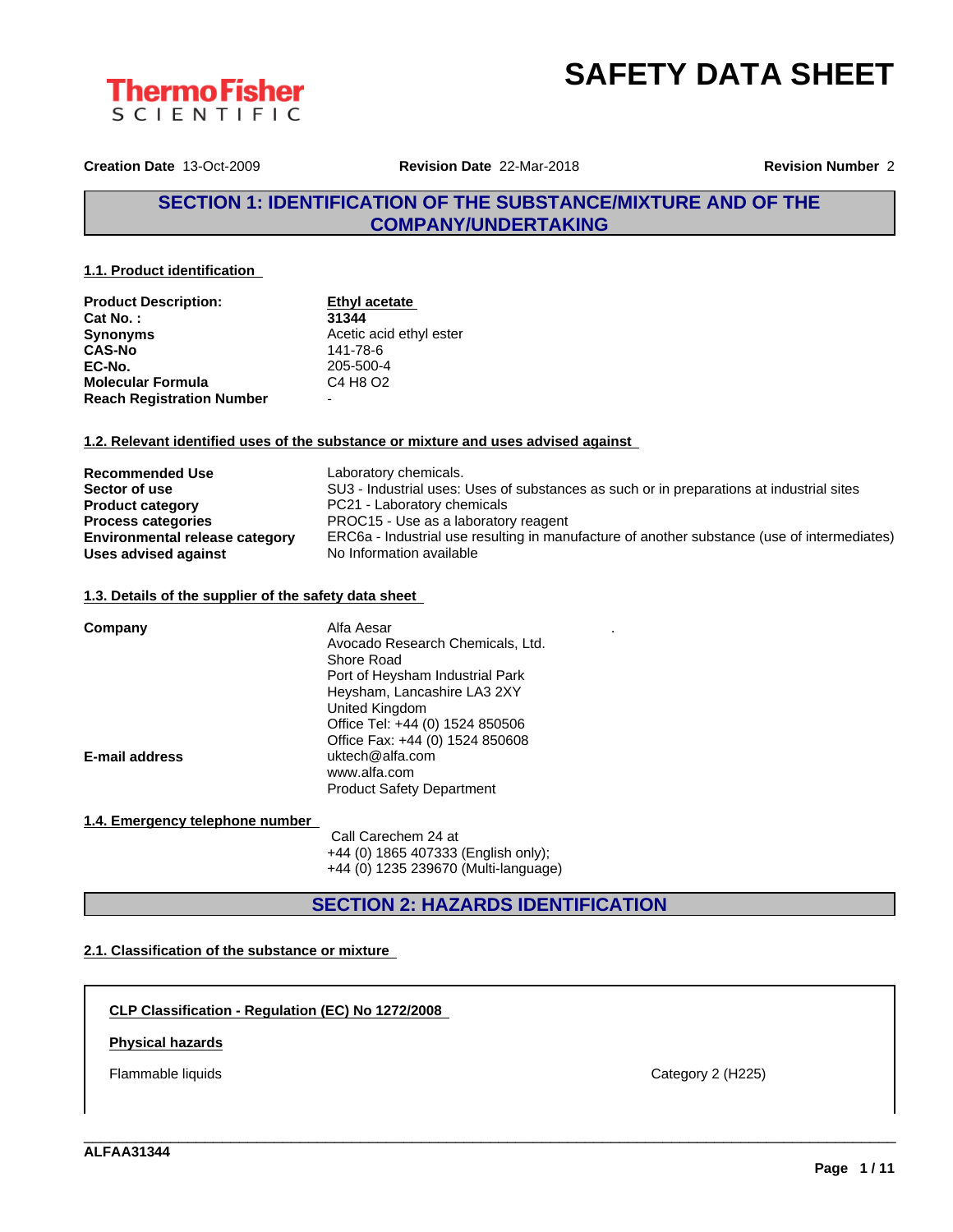



**Creation Date** 13-Oct-2009 **Revision Date** 22-Mar-2018 **Revision Number** 2

## **SECTION 1: IDENTIFICATION OF THE SUBSTANCE/MIXTURE AND OF THE COMPANY/UNDERTAKING**

**1.1. Product identification**

| <b>Product Description:</b>      | Ethyl acetate                    |
|----------------------------------|----------------------------------|
| Cat No.:                         | 31344                            |
| <b>Synonyms</b>                  | Acetic acid ethyl ester          |
| <b>CAS-No</b>                    | 141-78-6                         |
| EC-No.                           | 205-500-4                        |
| <b>Molecular Formula</b>         | C4 H <sub>8</sub> O <sub>2</sub> |
| <b>Reach Registration Number</b> | $\overline{\phantom{0}}$         |

#### **1.2. Relevant identified uses of the substance or mixture and uses advised against**

| <b>Recommended Use</b>                | Laboratory chemicals.                                                                       |
|---------------------------------------|---------------------------------------------------------------------------------------------|
| Sector of use                         | SU3 - Industrial uses: Uses of substances as such or in preparations at industrial sites    |
| <b>Product category</b>               | PC21 - Laboratory chemicals                                                                 |
| <b>Process categories</b>             | PROC15 - Use as a laboratory reagent                                                        |
| <b>Environmental release category</b> | ERC6a - Industrial use resulting in manufacture of another substance (use of intermediates) |
| Uses advised against                  | No Information available                                                                    |

#### **1.3. Details of the supplier of the safety data sheet**

| Company               | Alfa Aesar<br>Avocado Research Chemicals, Ltd.<br>Shore Road<br>Port of Heysham Industrial Park<br>Heysham, Lancashire LA3 2XY<br>United Kingdom |
|-----------------------|--------------------------------------------------------------------------------------------------------------------------------------------------|
| <b>E-mail address</b> | Office Tel: +44 (0) 1524 850506<br>Office Fax: +44 (0) 1524 850608<br>uktech@alfa.com<br>www.alfa.com<br><b>Product Safety Department</b>        |

#### **1.4. Emergency telephone number**

Call Carechem 24 at +44 (0) 1865 407333 (English only); +44 (0) 1235 239670 (Multi-language)

**SECTION 2: HAZARDS IDENTIFICATION**

\_\_\_\_\_\_\_\_\_\_\_\_\_\_\_\_\_\_\_\_\_\_\_\_\_\_\_\_\_\_\_\_\_\_\_\_\_\_\_\_\_\_\_\_\_\_\_\_\_\_\_\_\_\_\_\_\_\_\_\_\_\_\_\_\_\_\_\_\_\_\_\_\_\_\_\_\_\_\_\_\_\_\_\_\_\_\_\_\_\_\_\_\_\_

### **2.1. Classification of the substance or mixture**

**CLP Classification - Regulation (EC) No 1272/2008**

#### **Physical hazards**

Flammable liquids **Category 2** (H225)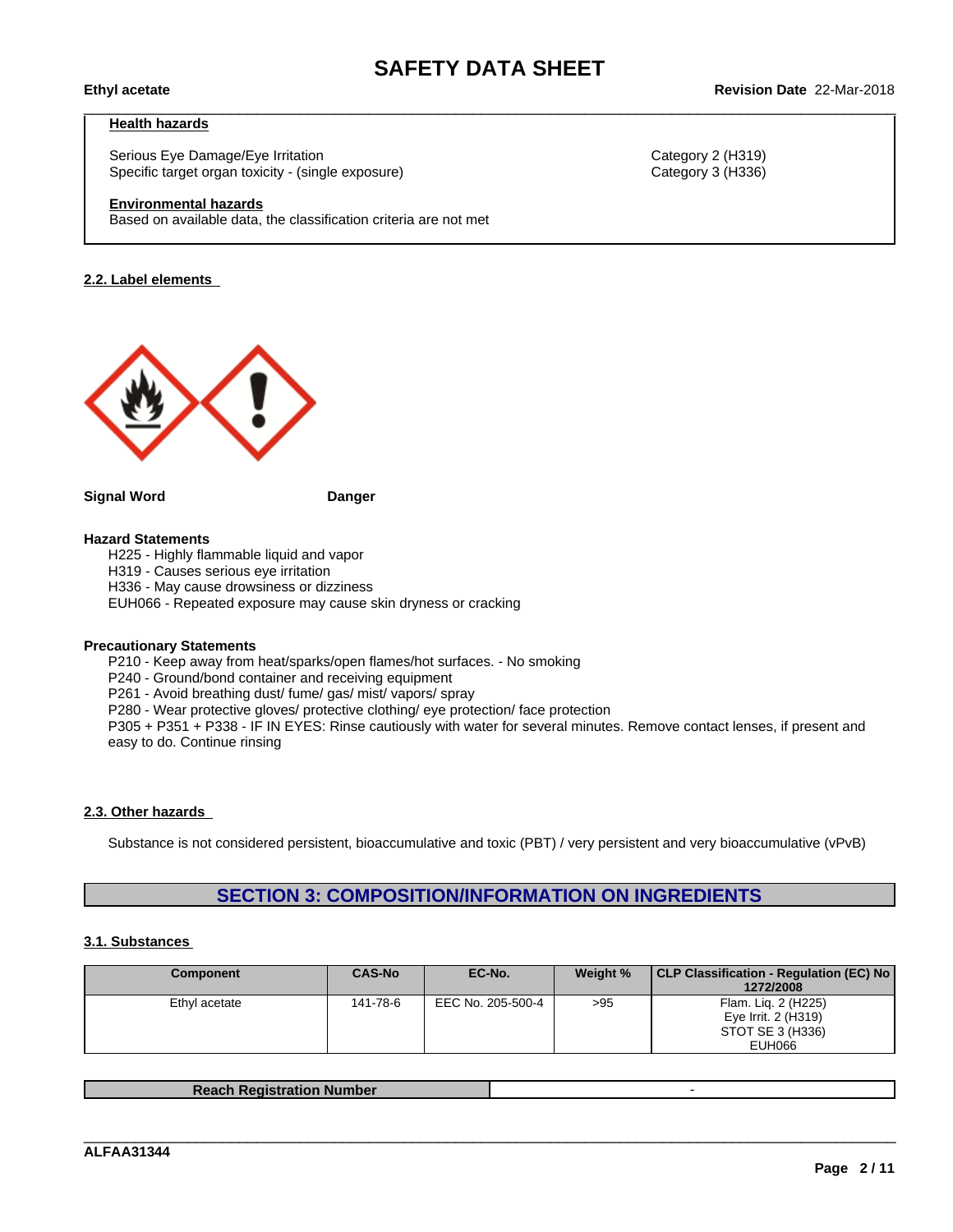#### **Health hazards**

Serious Eye Damage/Eye Irritation **Category 2 (H319)** Category 2 (H319) Specific target organ toxicity - (single exposure) Category 3 (H336) Category 3 (H336)

#### **Environmental hazards**

Based on available data, the classification criteria are not met

#### **2.2. Label elements**



#### **Signal Word Danger**

#### **Hazard Statements**

H225 - Highly flammable liquid and vapor

H319 - Causes serious eye irritation

H336 - May cause drowsiness or dizziness

EUH066 - Repeated exposure may cause skin dryness or cracking

#### **Precautionary Statements**

P210 - Keep away from heat/sparks/open flames/hot surfaces. - No smoking

P240 - Ground/bond container and receiving equipment

P261 - Avoid breathing dust/ fume/ gas/ mist/ vapors/ spray

P280 - Wear protective gloves/ protective clothing/ eye protection/ face protection

P305 + P351 + P338 - IF IN EYES: Rinse cautiously with water for several minutes. Remove contact lenses, if present and easy to do. Continue rinsing

#### **2.3. Other hazards**

Substance is not considered persistent, bioaccumulative and toxic (PBT) / very persistent and very bioaccumulative (vPvB)

## **SECTION 3: COMPOSITION/INFORMATION ON INGREDIENTS**

#### **3.1. Substances**

| <b>Component</b> | <b>CAS-No</b> | EC-No.            | Weight % | CLP Classification - Regulation (EC) No  <br>1272/2008 |
|------------------|---------------|-------------------|----------|--------------------------------------------------------|
| Ethyl acetate    | 141-78-6      | EEC No. 205-500-4 | >95      | Flam. Lig. 2 (H225)<br>Eye Irrit. 2 (H319)             |
|                  |               |                   |          | STOT SE 3 (H336)<br>EUH066                             |

**Reach Registration Number** -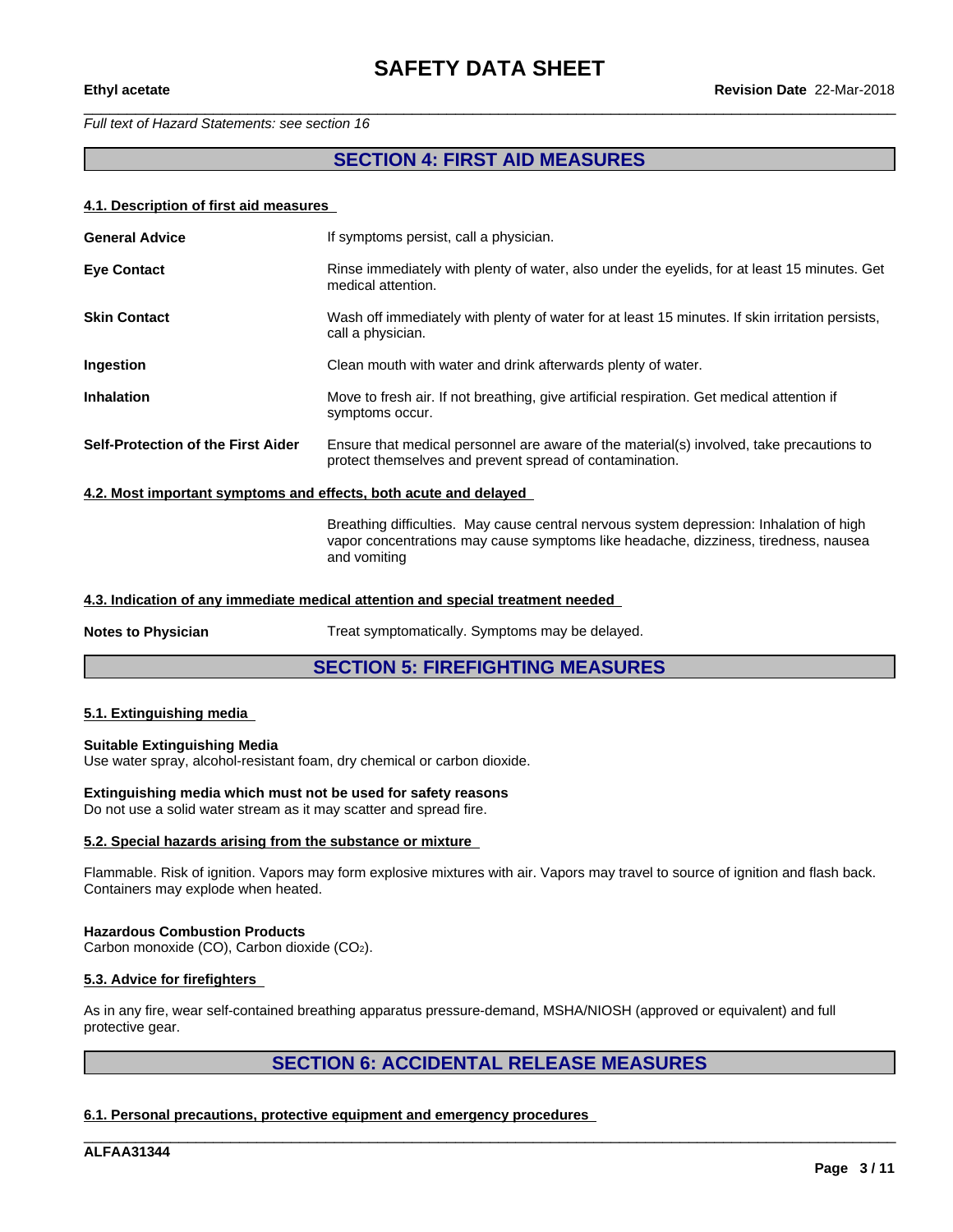#### *Full text of Hazard Statements: see section 16*

## **SECTION 4: FIRST AID MEASURES**

#### **4.1. Description of first aid measures**

| <b>General Advice</b>                                            | If symptoms persist, call a physician.                                                                                                              |  |  |  |
|------------------------------------------------------------------|-----------------------------------------------------------------------------------------------------------------------------------------------------|--|--|--|
| <b>Eve Contact</b>                                               | Rinse immediately with plenty of water, also under the eyelids, for at least 15 minutes. Get<br>medical attention.                                  |  |  |  |
| <b>Skin Contact</b>                                              | Wash off immediately with plenty of water for at least 15 minutes. If skin irritation persists,<br>call a physician.                                |  |  |  |
| Ingestion                                                        | Clean mouth with water and drink afterwards plenty of water.                                                                                        |  |  |  |
| <b>Inhalation</b>                                                | Move to fresh air. If not breathing, give artificial respiration. Get medical attention if<br>symptoms occur.                                       |  |  |  |
| Self-Protection of the First Aider                               | Ensure that medical personnel are aware of the material(s) involved, take precautions to<br>protect themselves and prevent spread of contamination. |  |  |  |
| 4.2. Most important symptoms and effects, both acute and delayed |                                                                                                                                                     |  |  |  |

Breathing difficulties. May cause central nervous system depression: Inhalation of high vapor concentrations may cause symptoms like headache, dizziness, tiredness, nausea and vomiting

#### **4.3. Indication of any immediate medical attention and special treatment needed**

**Notes to Physician** Treat symptomatically. Symptoms may be delayed.

## **SECTION 5: FIREFIGHTING MEASURES**

#### **5.1. Extinguishing media**

#### **Suitable Extinguishing Media**

Use water spray, alcohol-resistant foam, dry chemical or carbon dioxide.

#### **Extinguishing media which must not be used for safety reasons**

Do not use a solid water stream as it may scatter and spread fire.

#### **5.2. Special hazards arising from the substance or mixture**

Flammable. Risk of ignition. Vapors may form explosive mixtures with air. Vapors may travel to source of ignition and flash back. Containers may explode when heated.

#### **Hazardous Combustion Products**

Carbon monoxide (CO), Carbon dioxide (CO2).

#### **5.3. Advice for firefighters**

As in any fire, wear self-contained breathing apparatus pressure-demand, MSHA/NIOSH (approved or equivalent) and full protective gear.

# **SECTION 6: ACCIDENTAL RELEASE MEASURES**

\_\_\_\_\_\_\_\_\_\_\_\_\_\_\_\_\_\_\_\_\_\_\_\_\_\_\_\_\_\_\_\_\_\_\_\_\_\_\_\_\_\_\_\_\_\_\_\_\_\_\_\_\_\_\_\_\_\_\_\_\_\_\_\_\_\_\_\_\_\_\_\_\_\_\_\_\_\_\_\_\_\_\_\_\_\_\_\_\_\_\_\_\_\_

**6.1. Personal precautions, protective equipment and emergency procedures**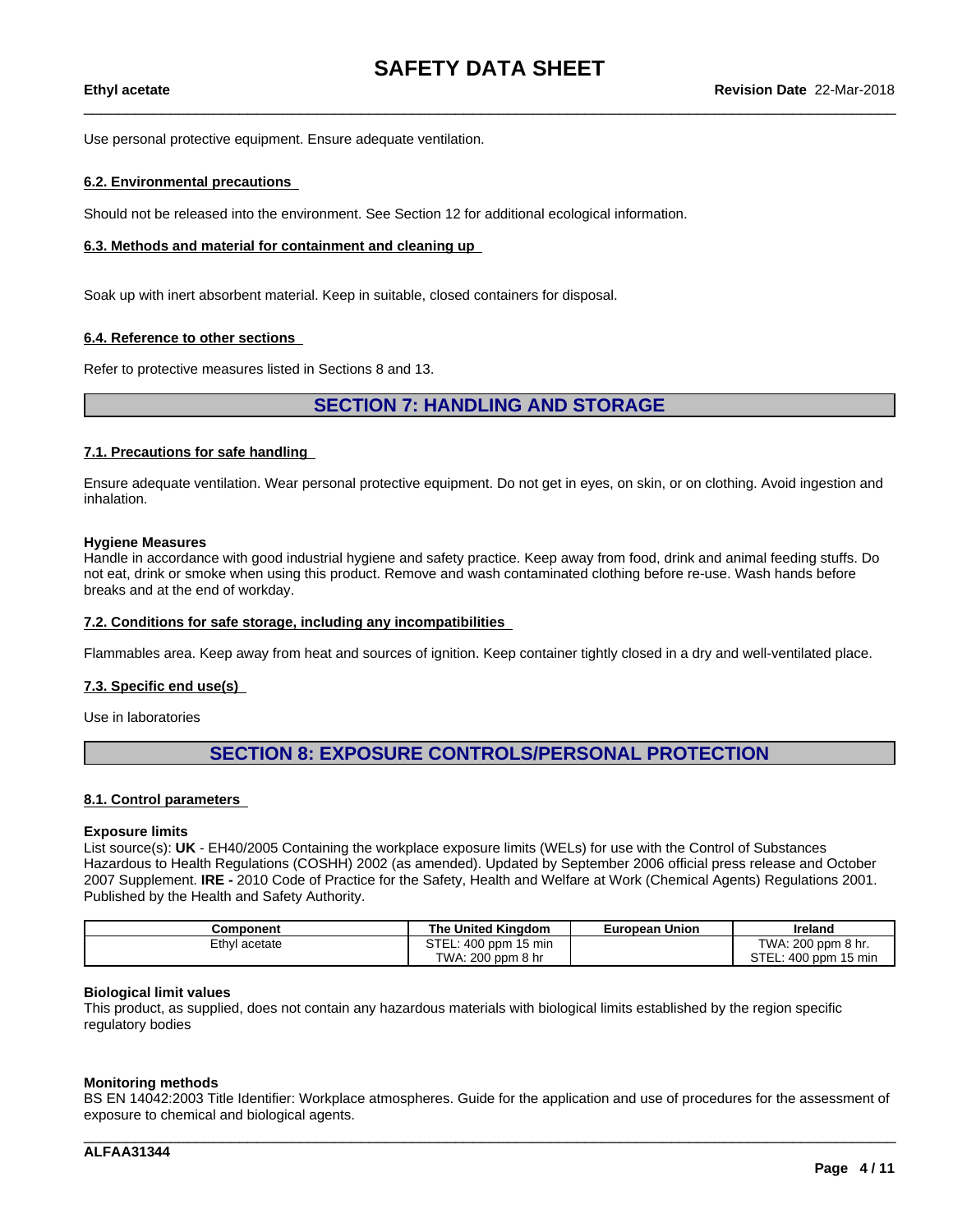Use personal protective equipment. Ensure adequate ventilation.

#### **6.2. Environmental precautions**

Should not be released into the environment. See Section 12 for additional ecological information.

#### **6.3. Methods and material for containment and cleaning up**

Soak up with inert absorbent material. Keep in suitable, closed containers for disposal.

#### **6.4. Reference to other sections**

Refer to protective measures listed in Sections 8 and 13.

**SECTION 7: HANDLING AND STORAGE**

#### **7.1. Precautions for safe handling**

Ensure adequate ventilation. Wear personal protective equipment.Do not get in eyes, on skin, or on clothing. Avoid ingestion and inhalation.

#### **Hygiene Measures**

Handle in accordance with good industrial hygiene and safety practice. Keep away from food, drink and animal feeding stuffs. Do not eat, drink or smoke when using this product. Remove and wash contaminated clothing before re-use. Wash hands before breaks and at the end of workday.

#### **7.2. Conditions for safe storage, including any incompatibilities**

Flammables area. Keep away from heat and sources of ignition. Keep container tightly closed in a dry and well-ventilated place.

#### **7.3. Specific end use(s)**

Use in laboratories

# **SECTION 8: EXPOSURE CONTROLS/PERSONAL PROTECTION**

#### **8.1. Control parameters**

#### **Exposure limits**

List source(s): **UK** - EH40/2005 Containing the workplace exposure limits (WELs) for use with the Control of Substances Hazardous to Health Regulations (COSHH) 2002 (as amended). Updated by September 2006 official press release and October 2007 Supplement. **IRE -** 2010 Code of Practice for the Safety, Health and Welfare at Work (Chemical Agents) Regulations 2001. Published by the Health and Safety Authority.

| Component     | The United Kinadom   | European Union | Ireland              |
|---------------|----------------------|----------------|----------------------|
| Ethyl acetate | STEL: 400 ppm 15 min |                | TWA: 200 ppm 8 hr.   |
|               | TWA: 200 ppm 8 hr    |                | STEL: 400 ppm 15 min |

#### **Biological limit values**

This product, as supplied, does not contain any hazardous materials with biological limits established by the region specific regulatory bodies

#### **Monitoring methods**

BS EN 14042:2003 Title Identifier: Workplace atmospheres. Guide for the application and use of procedures for the assessment of exposure to chemical and biological agents.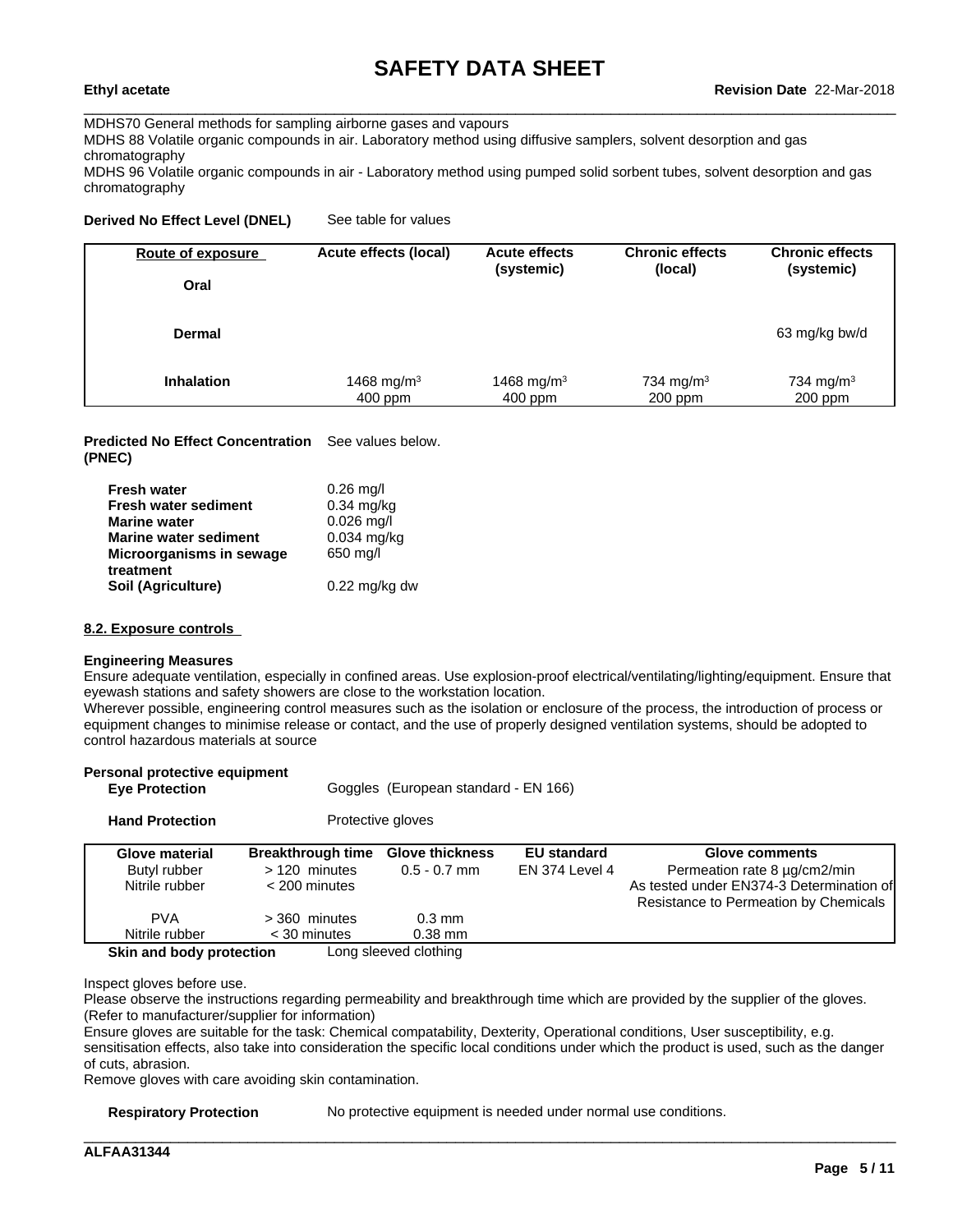MDHS70 General methods for sampling airborne gases and vapours

MDHS 88 Volatile organic compounds in air. Laboratory method using diffusive samplers, solvent desorption and gas chromatography

MDHS 96 Volatile organic compounds in air - Laboratory method using pumped solid sorbent tubes, solvent desorption and gas chromatography

#### **Derived No Effect Level (DNEL)** See table for values

| Oral<br><b>Dermal</b>                                                                                                                                                     | Route of exposure | Acute effects (local) | <b>Acute effects</b><br>(systemic) | <b>Chronic effects</b><br>(local) | <b>Chronic effects</b><br>(systemic) |
|---------------------------------------------------------------------------------------------------------------------------------------------------------------------------|-------------------|-----------------------|------------------------------------|-----------------------------------|--------------------------------------|
|                                                                                                                                                                           |                   |                       |                                    |                                   |                                      |
|                                                                                                                                                                           |                   |                       |                                    |                                   | 63 mg/kg bw/d                        |
| 1468 mg/m <sup>3</sup><br>734 mg/m <sup>3</sup><br>1468 mg/m <sup>3</sup><br>734 mg/m <sup>3</sup><br><b>Inhalation</b><br>400 ppm<br>$200$ ppm<br>$200$ ppm<br>$400$ ppm |                   |                       |                                    |                                   |                                      |

**Predicted No Effect Concentration** See values below. **(PNEC)**

| <b>Fresh water</b>           | $0.26$ mg/l             |
|------------------------------|-------------------------|
| <b>Fresh water sediment</b>  | $0.34$ mg/kg            |
| <b>Marine water</b>          | $0.026$ mg/l            |
| <b>Marine water sediment</b> | $0.034$ mg/kg           |
| Microorganisms in sewage     | 650 mg/l                |
| treatment                    |                         |
| Soil (Agriculture)           | $0.22 \text{ mg/kg}$ dw |

**Eye Protection Goggles** (European standard - EN 166)

#### **8.2. Exposure controls**

#### **Engineering Measures**

**Personal protective equipment**

Ensure adequate ventilation, especially in confined areas. Use explosion-proof electrical/ventilating/lighting/equipment. Ensure that eyewash stations and safety showers are close to the workstation location.

Wherever possible, engineering control measures such as the isolation or enclosure of the process, the introduction of process or equipment changes to minimise release or contact, and the use of properly designed ventilation systems, should be adopted to control hazardous materials at source

| <b>Hand Protection</b>                           |                                                             | Protective gloves                        |                                      |                                                                                                                                            |
|--------------------------------------------------|-------------------------------------------------------------|------------------------------------------|--------------------------------------|--------------------------------------------------------------------------------------------------------------------------------------------|
| Glove material<br>Butyl rubber<br>Nitrile rubber | <b>Breakthrough time</b><br>$>120$ minutes<br>< 200 minutes | <b>Glove thickness</b><br>$0.5 - 0.7$ mm | <b>EU</b> standard<br>EN 374 Level 4 | <b>Glove comments</b><br>Permeation rate 8 µg/cm2/min<br>As tested under EN374-3 Determination of<br>Resistance to Permeation by Chemicals |
| <b>PVA</b><br>Nitrile rubber                     | $>$ 360 minutes<br>$<$ 30 minutes                           | $0.3 \text{ mm}$<br>$0.38$ mm            |                                      |                                                                                                                                            |

Inspect gloves before use.

Please observe the instructions regarding permeability and breakthrough time which are provided by the supplier of the gloves. (Refer to manufacturer/supplier for information)

Ensure gloves are suitable for the task: Chemical compatability, Dexterity, Operational conditions, User susceptibility, e.g. sensitisation effects, also take into consideration the specific local conditions under which the product is used, such as the danger of cuts, abrasion.

Remove gloves with care avoiding skin contamination.

**Respiratory Protection** No protective equipment is needed under normal use conditions.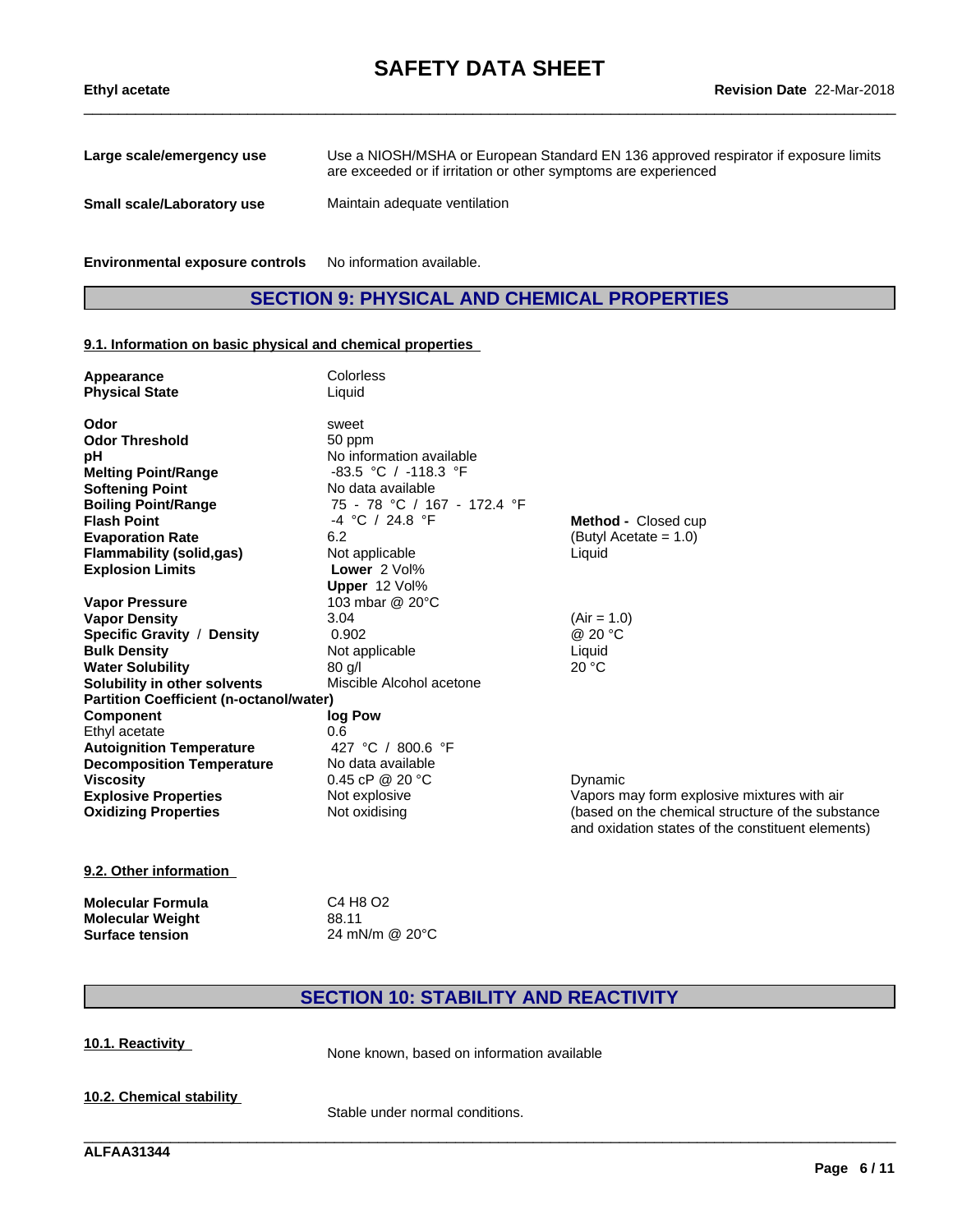| Large scale/emergency use  | Use a NIOSH/MSHA or European Standard EN 136 approved respirator if exposure limits<br>are exceeded or if irritation or other symptoms are experienced |
|----------------------------|--------------------------------------------------------------------------------------------------------------------------------------------------------|
| Small scale/Laboratory use | Maintain adequate ventilation                                                                                                                          |

**Environmental exposure controls** No information available.

# **SECTION 9: PHYSICAL AND CHEMICAL PROPERTIES**

#### **9.1. Information on basic physical and chemical properties**

| Appearance<br><b>Physical State</b>            | Colorless<br>Liquid         |                                                                                                        |
|------------------------------------------------|-----------------------------|--------------------------------------------------------------------------------------------------------|
| Odor                                           | sweet                       |                                                                                                        |
| <b>Odor Threshold</b>                          | 50 ppm                      |                                                                                                        |
| pH                                             | No information available    |                                                                                                        |
| <b>Melting Point/Range</b>                     | -83.5 °C / -118.3 °F        |                                                                                                        |
| <b>Softening Point</b>                         | No data available           |                                                                                                        |
| <b>Boiling Point/Range</b>                     | 75 - 78 °C / 167 - 172.4 °F |                                                                                                        |
| <b>Flash Point</b>                             | $-4$ °C / 24.8 °F           | <b>Method</b> - Closed cup                                                                             |
| <b>Evaporation Rate</b>                        | 6.2                         | (Butyl Acetate = $1.0$ )                                                                               |
| <b>Flammability (solid,gas)</b>                | Not applicable              | Liquid                                                                                                 |
| <b>Explosion Limits</b>                        | Lower 2 Vol%                |                                                                                                        |
|                                                | Upper 12 Vol%               |                                                                                                        |
| <b>Vapor Pressure</b>                          | 103 mbar @ 20°C             |                                                                                                        |
| <b>Vapor Density</b>                           | 3.04                        | $(Air = 1.0)$                                                                                          |
| Specific Gravity / Density                     | 0.902                       | @ 20 °C                                                                                                |
| <b>Bulk Density</b>                            | Not applicable              | Liquid                                                                                                 |
| <b>Water Solubility</b>                        | 80q/                        | 20 °C                                                                                                  |
| Solubility in other solvents                   | Miscible Alcohol acetone    |                                                                                                        |
| <b>Partition Coefficient (n-octanol/water)</b> |                             |                                                                                                        |
| <b>Component</b>                               | log Pow                     |                                                                                                        |
| Ethyl acetate                                  | 0.6                         |                                                                                                        |
| <b>Autoignition Temperature</b>                | 427 °C / 800.6 °F           |                                                                                                        |
| <b>Decomposition Temperature</b>               | No data available           |                                                                                                        |
| <b>Viscosity</b>                               | 0.45 cP @ 20 $°C$           | Dynamic                                                                                                |
| <b>Explosive Properties</b>                    | Not explosive               | Vapors may form explosive mixtures with air                                                            |
| <b>Oxidizing Properties</b>                    | Not oxidising               | (based on the chemical structure of the substance<br>and oxidation states of the constituent elements) |
| $A \wedge A$ and $A \wedge B$ and $A \wedge B$ |                             |                                                                                                        |

#### **9.2. Other information**

| Molecular Formula | C4 H8 O2       |
|-------------------|----------------|
| Molecular Weight  | 88.11          |
| Surface tension   | 24 mN/m @ 20°C |

# **SECTION 10: STABILITY AND REACTIVITY**

\_\_\_\_\_\_\_\_\_\_\_\_\_\_\_\_\_\_\_\_\_\_\_\_\_\_\_\_\_\_\_\_\_\_\_\_\_\_\_\_\_\_\_\_\_\_\_\_\_\_\_\_\_\_\_\_\_\_\_\_\_\_\_\_\_\_\_\_\_\_\_\_\_\_\_\_\_\_\_\_\_\_\_\_\_\_\_\_\_\_\_\_\_\_

**10.1. Reactivity** None known, based on information available

**10.2. Chemical stability**

Stable under normal conditions.

**ALFAA31344**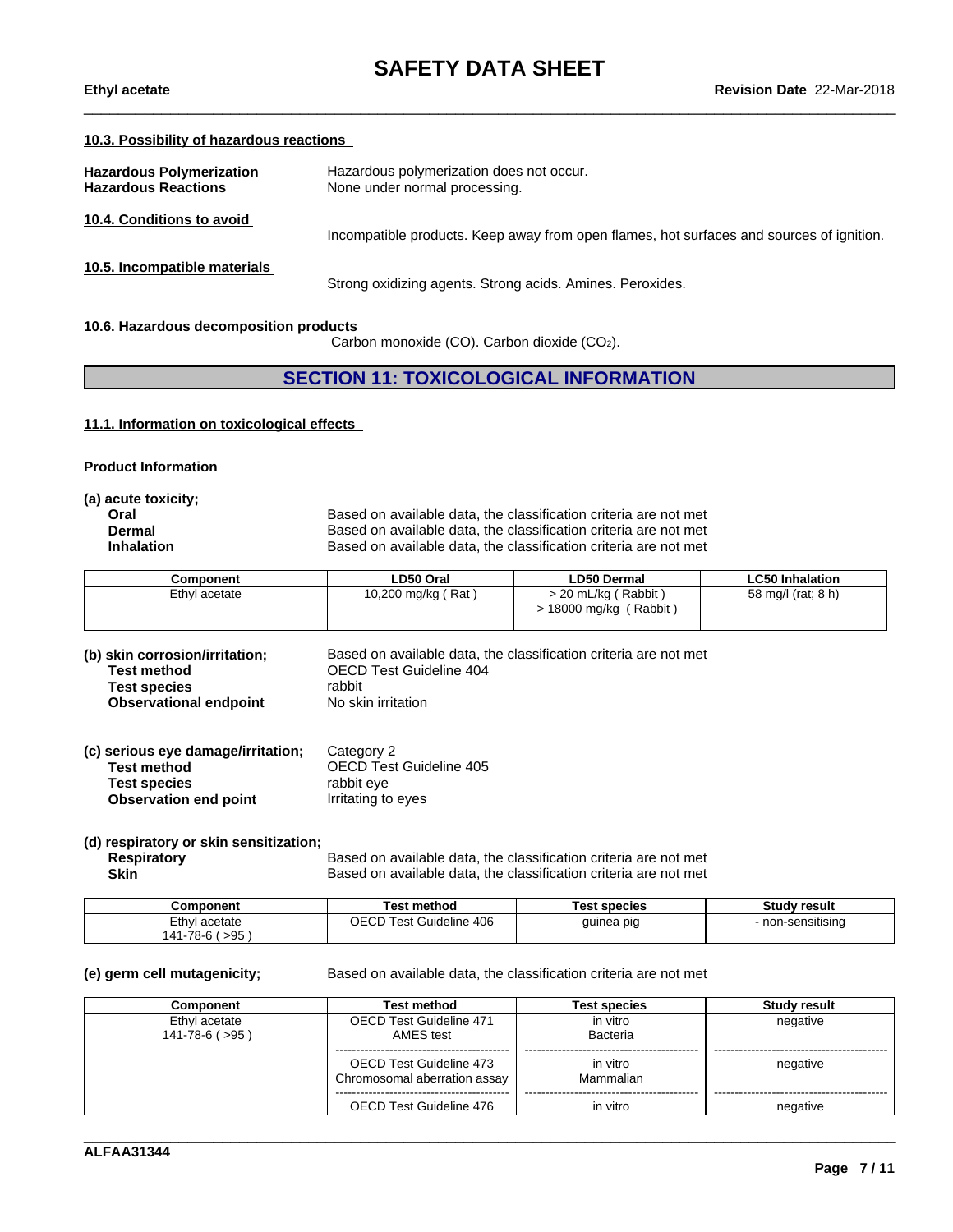#### **10.3. Possibility of hazardous reactions**

| <b>Hazardous Polymerization</b><br><b>Hazardous Reactions</b> | Hazardous polymerization does not occur.<br>None under normal processing.                |
|---------------------------------------------------------------|------------------------------------------------------------------------------------------|
| 10.4. Conditions to avoid                                     | Incompatible products. Keep away from open flames, hot surfaces and sources of ignition. |
| 10.5. Incompatible materials                                  | Strong oxidizing agents. Strong acids. Amines. Peroxides.                                |

#### **10.6. Hazardous decomposition products**

Carbon monoxide (CO). Carbon dioxide (CO2).

## **SECTION 11: TOXICOLOGICAL INFORMATION**

#### **11.1. Information on toxicologicaleffects**

| <b>Product Information</b> |  |
|----------------------------|--|
|----------------------------|--|

| (a) acute toxicity; |                                                                  |
|---------------------|------------------------------------------------------------------|
| Oral                | Based on available data, the classification criteria are not met |
| Dermal              | Based on available data, the classification criteria are not met |
| <b>Inhalation</b>   | Based on available data, the classification criteria are not met |
|                     |                                                                  |

| Component     | ∟D50 Oral          | <b>LD50 Dermal</b>                              | <b>LC50 Inhalation</b> |
|---------------|--------------------|-------------------------------------------------|------------------------|
| Ethyl acetate | 10,200 mg/kg (Rat) | > 20 mL/kg ( Rabbit )<br>(Rabbit<br>18000 mg/kg | 58 mg/l (rat; 8 h)     |

| (b) skin corrosion/irritation; | Based on available data, the classification criteria are not met |
|--------------------------------|------------------------------------------------------------------|
| Test method                    | OECD Test Guideline 404                                          |
| Test species                   | rabbit                                                           |
| <b>Observational endpoint</b>  | No skin irritation                                               |

| (c) serious eye damage/irritation; | Category 2                     |
|------------------------------------|--------------------------------|
| Test method                        | <b>OECD Test Guideline 405</b> |
| <b>Test species</b>                | rabbit eve                     |
| <b>Observation end point</b>       | Irritating to eyes             |

# **(d) respiratory or skin sensitization;**

**Respiratory** Based on available data, the classification criteria are not met Skin Skin Based on available data, the classification criteria are not met Based on available data, the classification criteria are not met

| <b>Component</b>  | Test method                                    | Test species | <b>Study result</b> |
|-------------------|------------------------------------------------|--------------|---------------------|
| ∠thyl<br>acetate  | OECD<br>Guideline 406<br>$\sqrt{1}$ est $\cap$ | quinea pig   | - non-sensitisina   |
| >95<br>141-78-6 ( |                                                |              |                     |

**(e) germ cell mutagenicity;** Based on available data, the classification criteria are not met

| <b>Component</b>                          | Test method                                             | Test species          | <b>Study result</b> |
|-------------------------------------------|---------------------------------------------------------|-----------------------|---------------------|
| Ethyl acetate<br>$141 - 78 - 6$ ( $>95$ ) | <b>OECD Test Guideline 471</b><br>AMES test             | in vitro<br>Bacteria  | negative            |
|                                           | OECD Test Guideline 473<br>Chromosomal aberration assay | in vitro<br>Mammalian | negative            |
|                                           | OECD Test Guideline 476                                 | in vitro              | negative            |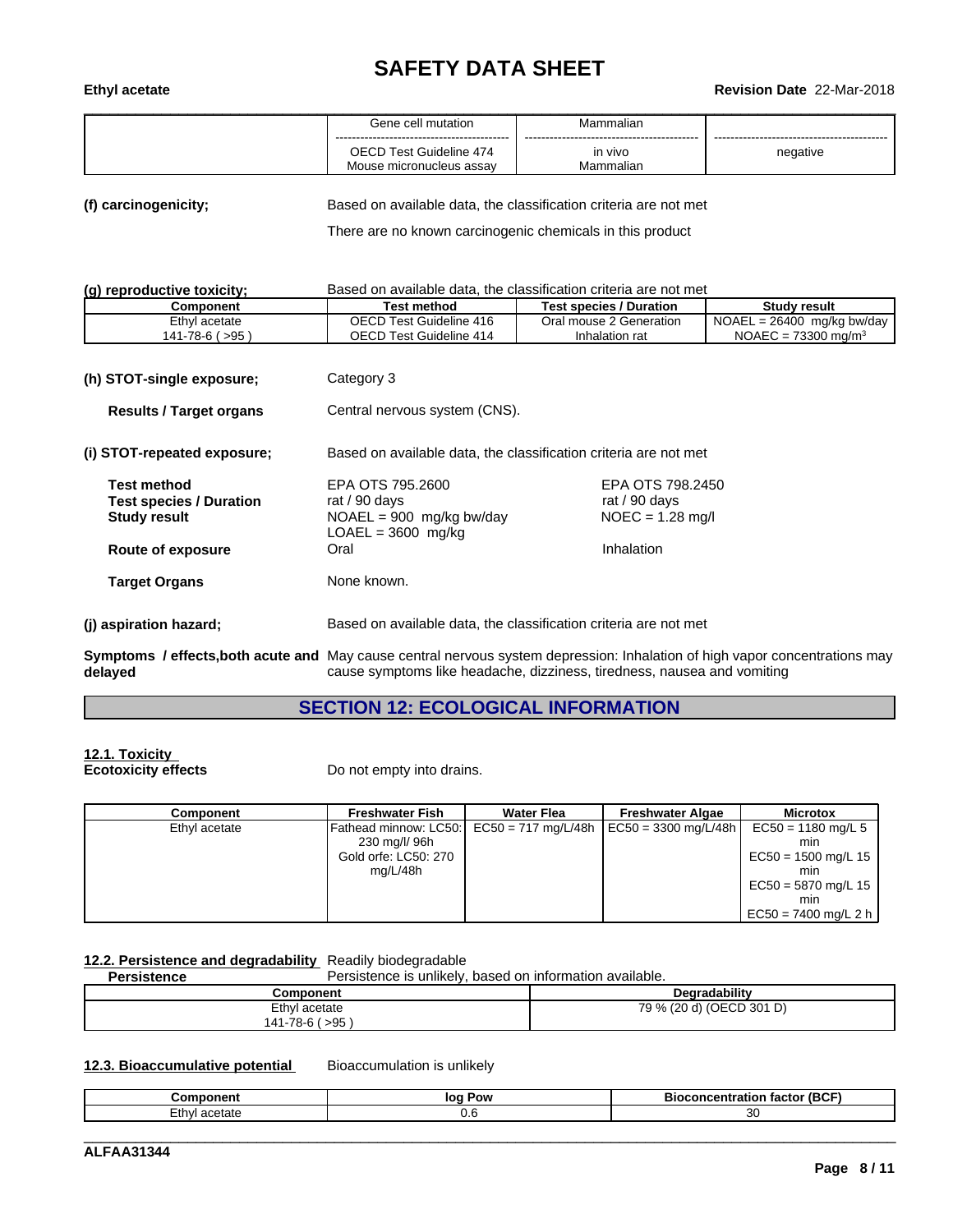# **SAFETY DATA SHEET**<br>Revision Date 22-Mar-2018

# \_\_\_\_\_\_\_\_\_\_\_\_\_\_\_\_\_\_\_\_\_\_\_\_\_\_\_\_\_\_\_\_\_\_\_\_\_\_\_\_\_\_\_\_\_\_\_\_\_\_\_\_\_\_\_\_\_\_\_\_\_\_\_\_\_\_\_\_\_\_\_\_\_\_\_\_\_\_\_\_\_\_\_\_\_\_\_\_\_\_\_\_\_\_ **Ethyl acetate Revision Date** 22-Mar-2018

| Gene cell mutation                                  | Mammalian            |          |
|-----------------------------------------------------|----------------------|----------|
| OECD Test Guideline 474<br>Mouse micronucleus assav | in vivo<br>Mammalian | negative |

**(f) carcinogenicity;** Based on available data, the classification criteria are not met

There are no known carcinogenic chemicals in this product

| (g) reproductive toxicity; | Based on available data, the classification criteria are not met |  |
|----------------------------|------------------------------------------------------------------|--|
|----------------------------|------------------------------------------------------------------|--|

| $\mathbf{y}$<br><b>Buovu on uvullupio uutu.</b> |                         |                                |                                |
|-------------------------------------------------|-------------------------|--------------------------------|--------------------------------|
| Component                                       | Test method             | <b>Test species / Duration</b> | Studv result                   |
| Ethyl acetate                                   | OECD Test Guideline 416 | Oral mouse 2 Generation        | $NOAEL = 26400$ mg/kg bw/day   |
| 141-78-6 ( >95                                  | OECD Test Guideline 414 | Inhalation rat                 | NOAEC = $73300 \text{ ma/m}^3$ |

| Category 3<br>(h) STOT-single exposure;                                     |                                                                                                                                                                                                        |                                                         |  |
|-----------------------------------------------------------------------------|--------------------------------------------------------------------------------------------------------------------------------------------------------------------------------------------------------|---------------------------------------------------------|--|
| <b>Results / Target organs</b>                                              | Central nervous system (CNS).                                                                                                                                                                          |                                                         |  |
| (i) STOT-repeated exposure;                                                 | Based on available data, the classification criteria are not met                                                                                                                                       |                                                         |  |
| <b>Test method</b><br><b>Test species / Duration</b><br><b>Study result</b> | EPA OTS 795,2600<br>rat / 90 days<br>$NOAEL = 900$ mg/kg bw/day<br>$LOAEL = 3600$ mg/kg                                                                                                                | EPA OTS 798.2450<br>rat / 90 days<br>$NOEC = 1.28$ mg/l |  |
| Route of exposure                                                           | Oral                                                                                                                                                                                                   | Inhalation                                              |  |
| <b>Target Organs</b>                                                        | None known.                                                                                                                                                                                            |                                                         |  |
| (j) aspiration hazard;                                                      | Based on available data, the classification criteria are not met                                                                                                                                       |                                                         |  |
| delayed                                                                     | Symptoms / effects, both acute and May cause central nervous system depression: Inhalation of high vapor concentrations may<br>cause symptoms like headache, dizziness, tiredness, nausea and vomiting |                                                         |  |

# **SECTION 12: ECOLOGICAL INFORMATION**

# **12.1. Toxicity**

**Ecotoxicity effects** Do not empty into drains.

| Component     | <b>Freshwater Fish</b>                                     | <b>Water Flea</b> | <b>Freshwater Algae</b>              | <b>Microtox</b>        |  |
|---------------|------------------------------------------------------------|-------------------|--------------------------------------|------------------------|--|
| Ethyl acetate | Fathead minnow: LC50: $\left  \right $ EC50 = 717 mg/L/48h |                   | $\vert$ EC50 = 3300 mg/L/48h $\vert$ | $EC50 = 1180$ mg/L 5   |  |
|               | 230 mg/l/ 96h                                              |                   |                                      | mın                    |  |
|               | Gold orfe: LC50: 270                                       |                   |                                      | $EC50 = 1500$ mg/L 15  |  |
|               | mg/L/48h                                                   |                   |                                      | mın                    |  |
|               |                                                            |                   |                                      | $EC50 = 5870$ mg/L 15  |  |
|               |                                                            |                   |                                      | mın                    |  |
|               |                                                            |                   |                                      | $EC50 = 7400$ mg/L 2 h |  |

## **12.2. Persistence and degradability** Readily biodegradable

**Persistence** Persistence is unlikely, based on information available.

| Component                                           | <br>radabilit                |
|-----------------------------------------------------|------------------------------|
| Ethyl acetate<br>∶ ∩⊏ ہ<br>70<br>4<br>1-10-L<br>ະສວ | (OECD 301 D)<br>79 %<br>14 Y |
|                                                     |                              |

### **12.3. Bioaccumulative potential** Bioaccumulation is unlikely

| -------<br>…or | Pow<br>100 | $- - -$<br>(BCF<br>- -<br>Bи<br>. нг<br>.<br>. |
|----------------|------------|------------------------------------------------|
| tate<br>∟tnv∙  | v.v        | ∼                                              |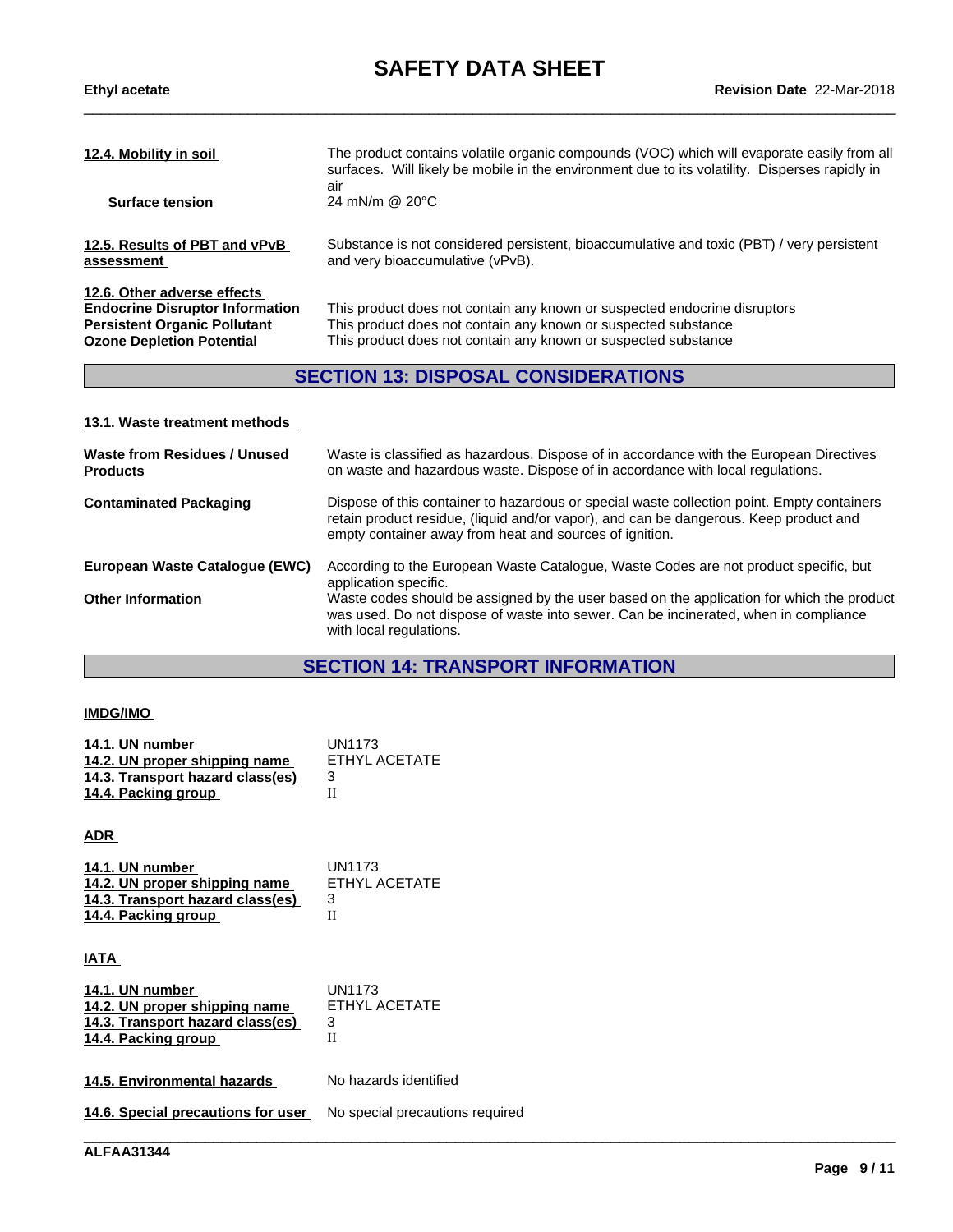| 12.4. Mobility in soil                      | The product contains volatile organic compounds (VOC) which will evaporate easily from all<br>surfaces. Will likely be mobile in the environment due to its volatility. Disperses rapidly in |
|---------------------------------------------|----------------------------------------------------------------------------------------------------------------------------------------------------------------------------------------------|
| <b>Surface tension</b>                      | air<br>24 mN/m @ $20^{\circ}$ C                                                                                                                                                              |
| 12.5. Results of PBT and vPvB<br>assessment | Substance is not considered persistent, bioaccumulative and toxic (PBT) / very persistent<br>and very bioaccumulative (vPvB).                                                                |
|                                             |                                                                                                                                                                                              |

**12.6. Other adverse effects**

**Endocrine Disruptor Information** This product does not contain any known or suspected endocrine disruptors<br>**Persistent Organic Pollutant** This product does not contain any known or suspected substance This product does not contain any known or suspected substance **Ozone Depletion Potential** This product does not contain any known or suspected substance

\_\_\_\_\_\_\_\_\_\_\_\_\_\_\_\_\_\_\_\_\_\_\_\_\_\_\_\_\_\_\_\_\_\_\_\_\_\_\_\_\_\_\_\_\_\_\_\_\_\_\_\_\_\_\_\_\_\_\_\_\_\_\_\_\_\_\_\_\_\_\_\_\_\_\_\_\_\_\_\_\_\_\_\_\_\_\_\_\_\_\_\_\_\_

## **SECTION 13: DISPOSAL CONSIDERATIONS**

#### **13.1. Waste treatment methods**

| <b>Waste from Residues / Unused</b><br><b>Products</b> | Waste is classified as hazardous. Dispose of in accordance with the European Directives<br>on waste and hazardous waste. Dispose of in accordance with local regulations.                                                                      |
|--------------------------------------------------------|------------------------------------------------------------------------------------------------------------------------------------------------------------------------------------------------------------------------------------------------|
| <b>Contaminated Packaging</b>                          | Dispose of this container to hazardous or special waste collection point. Empty containers<br>retain product residue, (liquid and/or vapor), and can be dangerous. Keep product and<br>empty container away from heat and sources of ignition. |
| European Waste Catalogue (EWC)                         | According to the European Waste Catalogue, Waste Codes are not product specific, but<br>application specific.                                                                                                                                  |
| <b>Other Information</b>                               | Waste codes should be assigned by the user based on the application for which the product<br>was used. Do not dispose of waste into sewer. Can be incinerated, when in compliance<br>with local regulations.                                   |

# **SECTION 14: TRANSPORT INFORMATION**

#### **IMDG/IMO**

| 14.1. UN number                  | UN1173        |
|----------------------------------|---------------|
| 14.2. UN proper shipping name    | ETHYL ACETATE |
| 14.3. Transport hazard class(es) |               |
| 14.4. Packing group              |               |

**ADR** 

| 14.1. UN number                  | UN1173        |
|----------------------------------|---------------|
| 14.2. UN proper shipping name    | ETHYL ACETATE |
| 14.3. Transport hazard class(es) |               |
| 14.4. Packing group              |               |

**IATA** 

| FTHYL ACFTATE |
|---------------|
|               |
|               |
|               |
|               |

**14.5. Environmental hazards** No hazards identified

**14.6. Special precautions for user** No special precautions required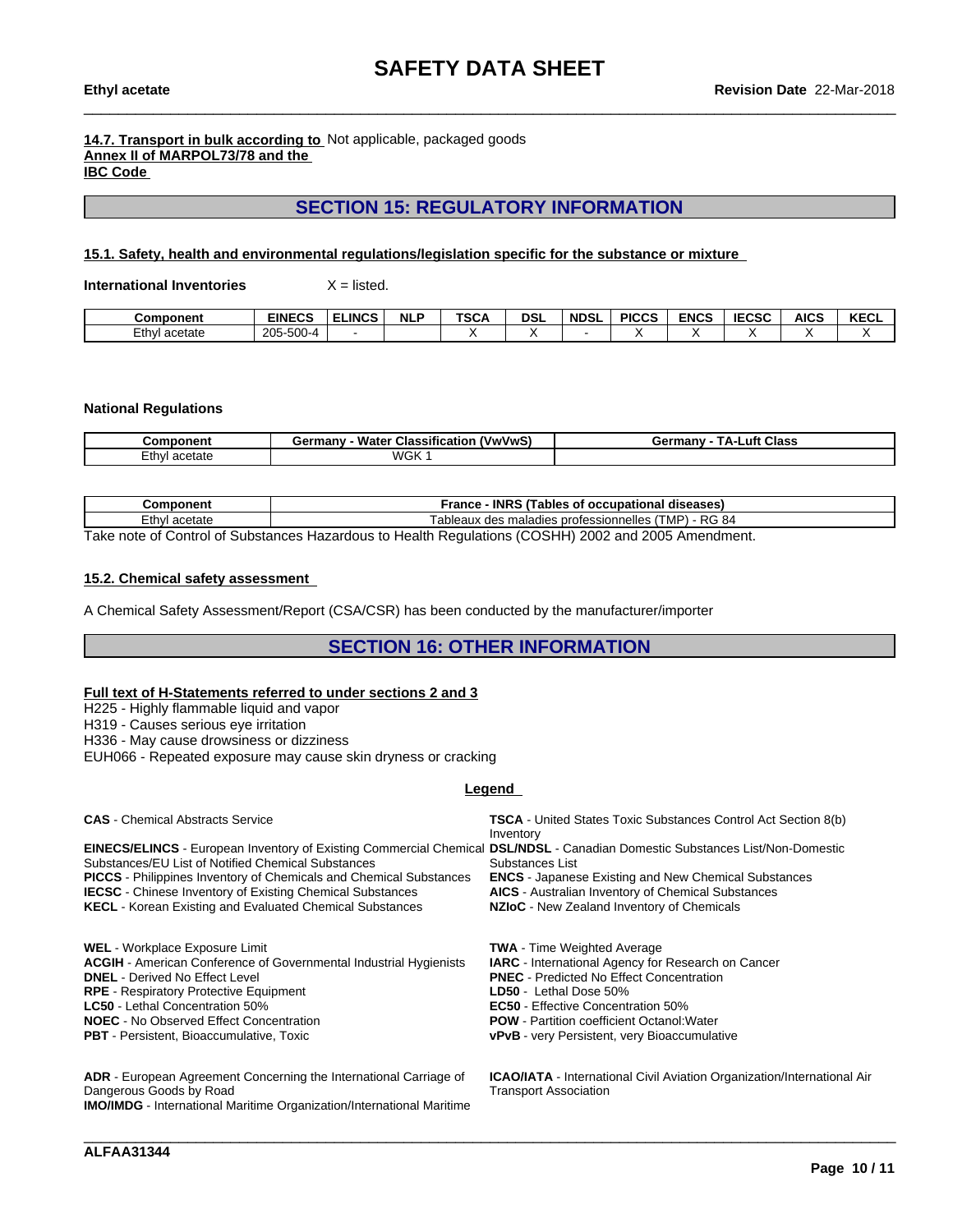#### **14.7. Transport in bulk according to** Not applicable, packaged goods **Annex II of MARPOL73/78 and the IBC Code**

# **SECTION 15: REGULATORY INFORMATION**

#### **15.1. Safety, health and environmental regulations/legislation specific for the substance or mixture**

**International Inventories** X = listed.

| <b>Component</b> | <b>EINECS</b>     | <b>ELINCS</b> | <b>NLI</b> | <b>TSCA</b> | <b>DSL</b> | <b>NDSI</b> | <b>PICCS</b> | <b>ENCS</b> | <b>IECSC</b> | <b>AICS</b> | <b>KECL</b> |
|------------------|-------------------|---------------|------------|-------------|------------|-------------|--------------|-------------|--------------|-------------|-------------|
| ∠thyl<br>acetate | $205 -$<br>$-500$ |               |            |             |            |             |              |             |              |             |             |

#### **National Regulations**

| Component              | $\overline{\phantom{a}}$<br>Water<br><u>(VwVwS)</u><br>ermanvث<br>Classification | <b>Class</b><br>⊥uft.<br>Germany<br>ΤΔ. |
|------------------------|----------------------------------------------------------------------------------|-----------------------------------------|
| _thγ'<br>acetate<br>au | <b>WGK</b>                                                                       |                                         |

| <b>Component</b>                                                                                     | <b>INRS</b><br>S (Tables of occupational diseases)<br>France                 |  |  |  |
|------------------------------------------------------------------------------------------------------|------------------------------------------------------------------------------|--|--|--|
| ∃th∨l<br>acetate                                                                                     | ) - RG 84<br>'TMP) -<br>s maladies professionnelles<br>dae<br>ableaux<br>uca |  |  |  |
| Teles note of Central of Cubatanese Hemandous to Health Demulations (COOHIL) 2002 and 2005 Americans |                                                                              |  |  |  |

Take note of Control of Substances Hazardous to Health Regulations (COSHH) 2002 and 2005 Amendment.

#### **15.2. Chemical safety assessment**

A Chemical Safety Assessment/Report (CSA/CSR) has been conducted by the manufacturer/importer

### **SECTION 16: OTHER INFORMATION**

#### **Full text of H-Statements referred to undersections 2 and 3**

H225 - Highly flammable liquid and vapor

H319 - Causes serious eye irritation

H336 - May cause drowsiness or dizziness

EUH066 - Repeated exposure may cause skin dryness or cracking

#### **Legend**

| <b>CAS</b> - Chemical Abstracts Service                                                                                             | <b>TSCA</b> - United States Toxic Substances Control Act Section 8(b) |
|-------------------------------------------------------------------------------------------------------------------------------------|-----------------------------------------------------------------------|
|                                                                                                                                     | Inventory                                                             |
| <b>EINECS/ELINCS</b> - European Inventory of Existing Commercial Chemical DSL/NDSL - Canadian Domestic Substances List/Non-Domestic |                                                                       |
| Substances/EU List of Notified Chemical Substances                                                                                  | Substances List                                                       |
| <b>PICCS</b> - Philippines Inventory of Chemicals and Chemical Substances                                                           | <b>ENCS</b> - Japanese Existing and New Chemical Substances           |
| <b>IECSC</b> - Chinese Inventory of Existing Chemical Substances                                                                    | <b>AICS</b> - Australian Inventory of Chemical Substances             |
| <b>KECL</b> - Korean Existing and Evaluated Chemical Substances                                                                     | NZIoC - New Zealand Inventory of Chemicals                            |
| <b>WEL</b> - Workplace Exposure Limit                                                                                               | <b>TWA</b> - Time Weighted Average                                    |
| <b>ACGIH</b> - American Conference of Governmental Industrial Hygienists                                                            | <b>IARC</b> - International Agency for Research on Cancer             |
| <b>DNEL</b> - Derived No Effect Level                                                                                               | <b>PNEC</b> - Predicted No Effect Concentration                       |
| <b>RPE</b> - Respiratory Protective Equipment                                                                                       | LD50 - Lethal Dose 50%                                                |

**LC50** - Lethal Concentration 50%<br> **NOEC** - No Observed Effect Concentration<br> **NOEC** - No Observed Effect Concentration<br> **ROW** - Partition coefficient Octanol: Water

**NOEC** - No Observed Effect Concentration<br>**PBT** - Persistent, Bioaccumulative, Toxic

**ADR** - European Agreement Concerning the International Carriage of Dangerous Goods by Road **IMO/IMDG** - International Maritime Organization/International Maritime **ICAO/IATA** - International Civil Aviation Organization/International Air Transport Association

**vPvB** - very Persistent, very Bioaccumulative